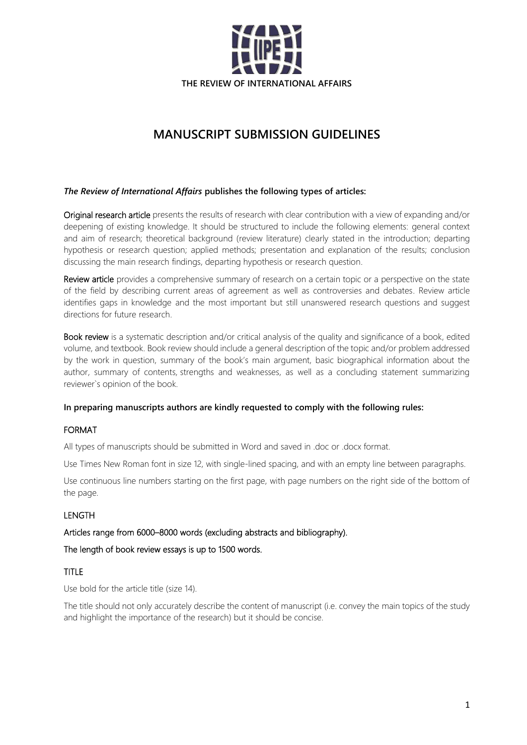

# **MANUSCRIPT SUBMISSION GUIDELINES**

## *The Review of International Affairs* **publishes the following types of articles:**

Original research article presents the results of research with clear contribution with a view of expanding and/or deepening of existing knowledge. It should be structured to include the following elements: general context and aim of research; theoretical background (review literature) clearly stated in the introduction; departing hypothesis or research question; applied methods; presentation and explanation of the results; conclusion discussing the main research findings, departing hypothesis or research question.

Review article provides a comprehensive summary of research on a certain topic or a perspective on the state of the field by describing current areas of agreement as well as controversies and debates. Review article identifies gaps in knowledge and the most important but still unanswered research questions and suggest directions for future research.

Book review is a systematic description and/or critical analysis of the quality and significance of a book, edited volume, and textbook. Book review should include a general description of the topic and/or problem addressed by the work in question, summary of the book's main argument, basic biographical information about the author, summary of contents, strengths and weaknesses, as well as a concluding statement summarizing reviewer`s opinion of the book.

### **In preparing manuscripts authors are kindly requested to comply with the following rules:**

# FORMAT

All types of manuscripts should be submitted in Word and saved in .doc or .docx format.

Use Times New Roman font in size 12, with single-lined spacing, and with an empty line between paragraphs.

Use continuous line numbers starting on the first page, with page numbers on the right side of the bottom of the page.

# LENGTH

## Articles range from 6000–8000 words (excluding abstracts and bibliography).

The length of book review essays is up to 1500 words.

# TITLE

Use bold for the article title (size 14).

The title should not only accurately describe the content of manuscript (i.e. convey the main topics of the study and highlight the importance of the research) but it should be concise.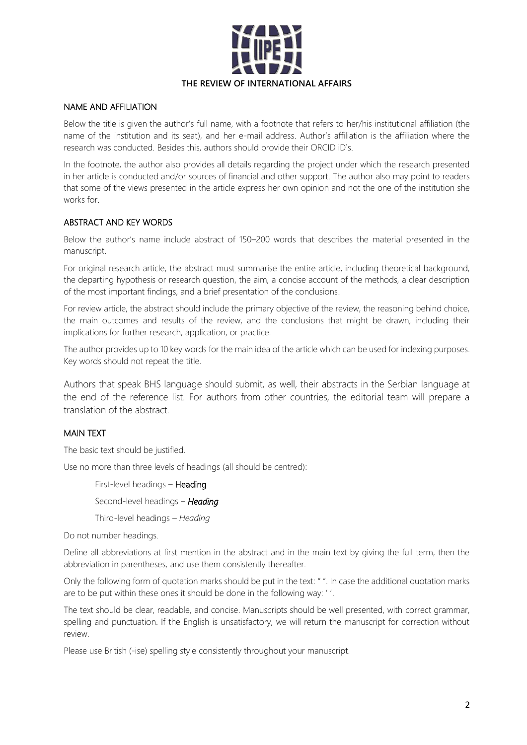

## NAME AND AFFILIATION

Below the title is given the author's full name, with a footnote that refers to her/his institutional affiliation (the name of the institution and its seat), and her e-mail address. Author's affiliation is the affiliation where the research was conducted. Besides this, authors should provide their ORCID iD's.

In the footnote, the author also provides all details regarding the project under which the research presented in her article is conducted and/or sources of financial and other support. The author also may point to readers that some of the views presented in the article express her own opinion and not the one of the institution she works for.

# ABSTRACT AND KEY WORDS

Below the author's name include abstract of 150–200 words that describes the material presented in the manuscript.

For original research article, the abstract must summarise the entire article, including theoretical background, the departing hypothesis or research question, the aim, a concise account of the methods, a clear description of the most important findings, and a brief presentation of the conclusions.

For review article, the abstract should include the primary objective of the review, the reasoning behind choice, the main outcomes and results of the review, and the conclusions that might be drawn, including their implications for further research, application, or practice.

The author provides up to 10 key words for the main idea of the article which can be used for indexing purposes. Key words should not repeat the title.

Authors that speak BHS language should submit, as well, their abstracts in the Serbian language at the end of the reference list. For authors from other countries, the editorial team will prepare a translation of the abstract.

# MAIN TEXT

The basic text should be justified.

Use no more than three levels of headings (all should be centred):

First-level headings – Heading

Second-level headings – *Heading*

Third-level headings – *Heading*

Do not number headings.

Define all abbreviations at first mention in the abstract and in the main text by giving the full term, then the abbreviation in parentheses, and use them consistently thereafter.

Only the following form of quotation marks should be put in the text: " ". In case the additional quotation marks are to be put within these ones it should be done in the following way: ' '.

The text should be clear, readable, and concise. Manuscripts should be well presented, with correct grammar, spelling and punctuation. If the English is unsatisfactory, we will return the manuscript for correction without review.

Please use British (-ise) spelling style consistently throughout your manuscript.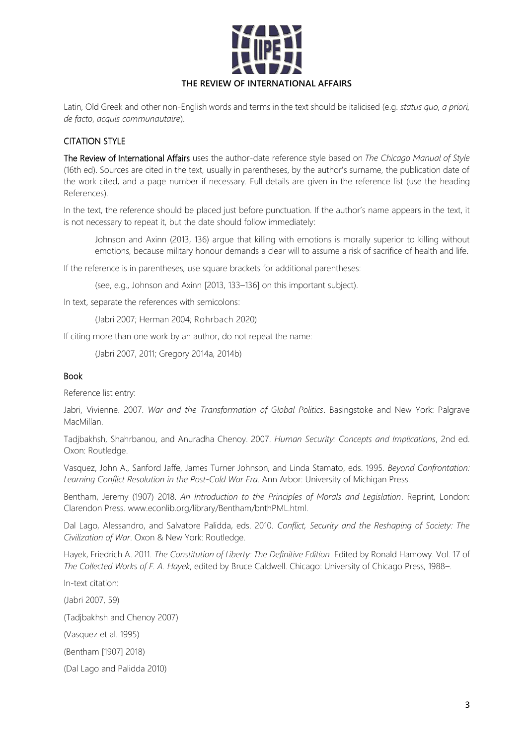

Latin, Old Greek and other non-English words and terms in the text should be italicised (e.g. *status quo, a priori, de facto*, *acquis communautaire*).

# CITATION STYLE

The Review of International Affairs uses the author-date reference style based on *The Chicago Manual of Style* (16th ed). Sources are cited in the text, usually in parentheses, by the author's surname, the publication date of the work cited, and a page number if necessary. Full details are given in the reference list (use the heading References).

In the text, the reference should be placed just before punctuation. If the author's name appears in the text, it is not necessary to repeat it, but the date should follow immediately:

Johnson and Axinn (2013, 136) argue that killing with emotions is morally superior to killing without emotions, because military honour demands a clear will to assume a risk of sacrifice of health and life.

If the reference is in parentheses, use square brackets for additional parentheses:

(see, e.g., Johnson and Axinn [2013, 133–136] on this important subject).

In text, separate the references with semicolons:

(Jabri 2007; Herman 2004; Rohrbach 2020)

If citing more than one work by an author, do not repeat the name:

(Jabri 2007, 2011; Gregory 2014a, 2014b)

#### Book

Reference list entry:

Jabri, Vivienne. 2007. *War and the Transformation of Global Politics*. Basingstoke and New York: Palgrave MacMillan.

Tadjbakhsh, Shahrbanou, and Anuradha Chenoy. 2007. *Human Security: Concepts and Implications*, 2nd ed. Oxon: Routledge.

Vasquez, John A., Sanford Jaffe, James Turner Johnson, and Linda Stamato, eds. 1995. *Beyond Confrontation: Learning Conflict Resolution in the Post-Cold War Era*. Ann Arbor: University of Michigan Press.

Bentham, Jeremy (1907) 2018. *An Introduction to the Principles of Morals and Legislation*. Reprint, London: Clarendon Press. www.econlib.org/library/Bentham/bnthPML.html.

Dal Lago, Alessandro, and Salvatore Palidda, eds. 2010. *Conflict, Security and the Reshaping of Society: The Civilization of War*. Oxon & New York: Routledge.

Hayek, Friedrich A. 2011. *The Constitution of Liberty: The Definitive Edition*. Edited by Ronald Hamowy. Vol. 17 of *The Collected Works of F. A. Hayek*, edited by Bruce Caldwell. Chicago: University of Chicago Press, 1988–.

In-text citation: (Jabri 2007, 59) (Tadjbakhsh and Chenoy 2007) (Vasquez et al. 1995) (Bentham [1907] 2018) (Dal Lago and Palidda 2010)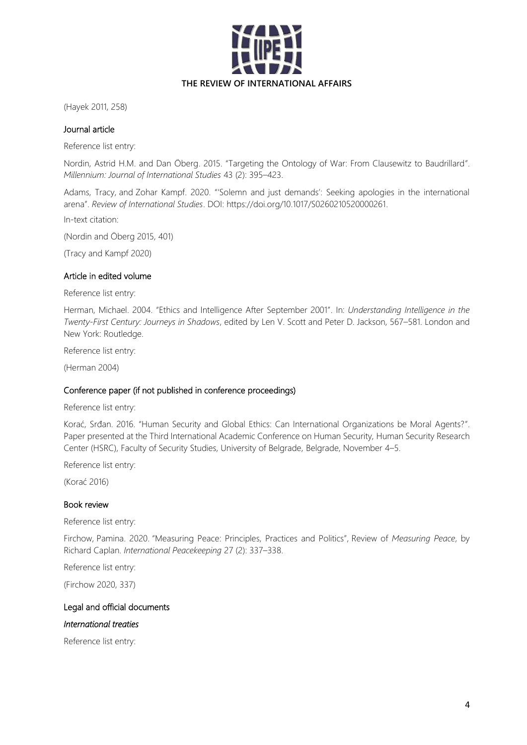

(Hayek 2011, 258)

## Journal article

Reference list entry:

Nordin, Astrid H.M. and Dan Öberg. 2015. "Targeting the Ontology of War: From Clausewitz to Baudrillard". *Millennium: Journal of International Studies* 43 (2): 395–423.

Adams, Tracy, and Zohar Kampf. 2020. "'Solemn and just demands': Seeking apologies in the international arena". *Review of International Studies*. DOI: https://doi.org/10.1017/S0260210520000261.

In-text citation:

(Nordin and Öberg 2015, 401)

(Tracy and Kampf 2020)

#### Article in edited volume

Reference list entry:

Herman, Michael. 2004. "Ethics and Intelligence After September 2001". In: *Understanding Intelligence in the Twenty-First Century: Journeys in Shadows*, edited by Len V. Scott and Peter D. Jackson, 567–581. London and New York: Routledge.

Reference list entry:

(Herman 2004)

### Conference paper (if not published in conference proceedings)

Reference list entry:

Korać, Srđan. 2016. "Human Security and Global Ethics: Can International Organizations be Moral Agents?". Paper presented at the Third International Academic Conference on Human Security, Human Security Research Center (HSRC), Faculty of Security Studies, University of Belgrade, Belgrade, November 4–5.

Reference list entry:

(Korać 2016)

#### Book review

Reference list entry:

Firchow, Pamina. 2020. "Measuring Peace: Principles, Practices and Politics", Review of *Measuring Peace*, by Richard Caplan. *International Peacekeeping* 27 (2): 337–338.

Reference list entry:

(Firchow 2020, 337)

#### Legal and official documents

## *International treaties*

Reference list entry: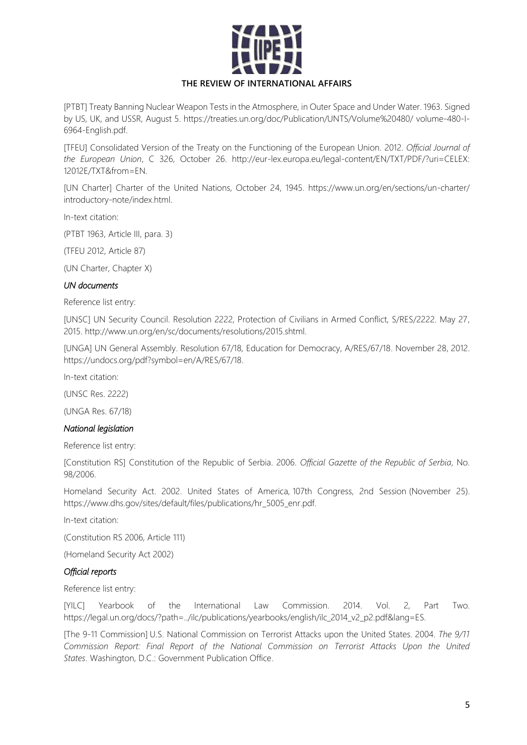

[PTBT] Treaty Banning Nuclear Weapon Tests in the Atmosphere, in Outer Space and Under Water. 1963. Signed by US, UK, and USSR, August 5. https://treaties.un.org/doc/Publication/UNTS/Volume%20480/ volume-480-I-6964-English.pdf.

[TFEU] Consolidated Version of the Treaty on the Functioning of the European Union. 2012. *Official Journal of the European Union*, C 326, October 26. http://eur-lex.europa.eu/legal-content/EN/TXT/PDF/?uri=CELEX: 12012E/TXT&from=EN.

[UN Charter] Charter of the United Nations, October 24, 1945. https://www.un.org/en/sections/un-charter/ introductory-note/index.html.

In-text citation:

(PTBT 1963, Article III, para. 3)

(TFEU 2012, Article 87)

(UN Charter, Chapter X)

### *UN documents*

Reference list entry:

[UNSC] UN Security Council. Resolution 2222, Protection of Civilians in Armed Conflict, S/RES/2222. May 27, 2015. http://www.un.org/en/sc/documents/resolutions/2015.shtml.

[UNGA] UN General Assembly. Resolution 67/18, Education for Democracy, A/RES/67/18. November 28, 2012. https://undocs.org/pdf?symbol=en/A/RES/67/18.

In-text citation:

(UNSC Res. 2222)

(UNGA Res. 67/18)

#### *National legislation*

Reference list entry:

[Constitution RS] Constitution of the Republic of Serbia. 2006. *Official Gazette of the Republic of Serbia*, No. 98/2006.

Homeland Security Act. 2002. United States of America, 107th Congress, 2nd Session (November 25). https://www.dhs.gov/sites/default/files/publications/hr\_5005\_enr.pdf.

In-text citation:

(Constitution RS 2006, Article 111)

(Homeland Security Act 2002)

#### *Official reports*

Reference list entry:

[YILC] Yearbook of the International Law Commission. 2014. Vol. 2, Part Two. https://legal.un.org/docs/?path=../ilc/publications/yearbooks/english/ilc\_2014\_v2\_p2.pdf&lang=ES.

[The 9-11 Commission] U.S. National Commission on Terrorist Attacks upon the United States. 2004. *The 9/11 Commission Report: Final Report of the National Commission on Terrorist Attacks Upon the United States*. Washington, D.C.: Government Publication Office.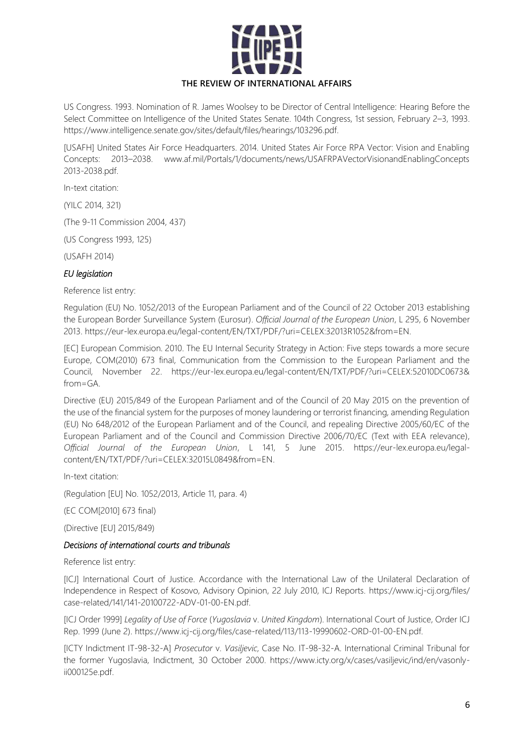

US Congress. 1993. Nomination of R. James Woolsey to be Director of Central Intelligence: Hearing Before the Select Committee on Intelligence of the United States Senate. 104th Congress, 1st session, February 2–3, 1993. https://www.intelligence.senate.gov/sites/default/files/hearings/103296.pdf.

[USAFH] United States Air Force Headquarters. 2014. United States Air Force RPA Vector: Vision and Enabling Concepts: 2013–2038. www.af.mil/Portals/1/documents/news/USAFRPAVectorVisionandEnablingConcepts 2013-2038.pdf.

In-text citation:

(YILC 2014, 321)

(The 9-11 Commission 2004, 437)

(US Congress 1993, 125)

(USAFH 2014)

# *EU legislation*

### Reference list entry:

Regulation (EU) No. 1052/2013 of the European Parliament and of the Council of 22 October 2013 establishing the European Border Surveillance System (Eurosur). *Official Journal of the European Union*, L 295, 6 November 2013. https://eur-lex.europa.eu/legal-content/EN/TXT/PDF/?uri=CELEX:32013R1052&from=EN.

[EC] European Commision. 2010. The EU Internal Security Strategy in Action: Five steps towards a more secure Europe, COM(2010) 673 final, Communication from the Commission to the European Parliament and the Council, November 22. https://eur-lex.europa.eu/legal-content/EN/TXT/PDF/?uri=CELEX:52010DC0673& from=GA.

Directive (EU) 2015/849 of the European Parliament and of the Council of 20 May 2015 on the prevention of the use of the financial system for the purposes of money laundering or terrorist financing, amending Regulation (EU) No 648/2012 of the European Parliament and of the Council, and repealing Directive 2005/60/EC of the European Parliament and of the Council and Commission Directive 2006/70/EC (Text with EEA relevance), *Official Journal of the European Union*, L 141, 5 June 2015. https://eur-lex.europa.eu/legalcontent/EN/TXT/PDF/?uri=CELEX:32015L0849&from=EN.

In-text citation:

(Regulation [EU] No. 1052/2013, Article 11, para. 4)

(EC COM[2010] 673 final)

(Directive [EU] 2015/849)

## *Decisions of international courts and tribunals*

Reference list entry:

[ICJ] International Court of Justice. Accordance with the International Law of the Unilateral Declaration of Independence in Respect of Kosovo, Advisory Opinion, 22 July 2010, ICJ Reports. https://www.icj-cij.org/files/ case-related/141/141-20100722-ADV-01-00-EN.pdf.

[ICJ Order 1999] *Legality of Use of Force* (*Yugoslavia* v. *United Kingdom*). International Court of Justice, Order ICJ Rep. 1999 (June 2). https://www.icj-cij.org/files/case-related/113/113-19990602-ORD-01-00-EN.pdf.

[ICTY Indictment IT-98-32-A] *Prosecutor* v. *Vasiljevic*, Case No. IT-98-32-A. International Criminal Tribunal for the former Yugoslavia, Indictment, 30 October 2000. https://www.icty.org/x/cases/vasiljevic/ind/en/vasonlyii000125e.pdf.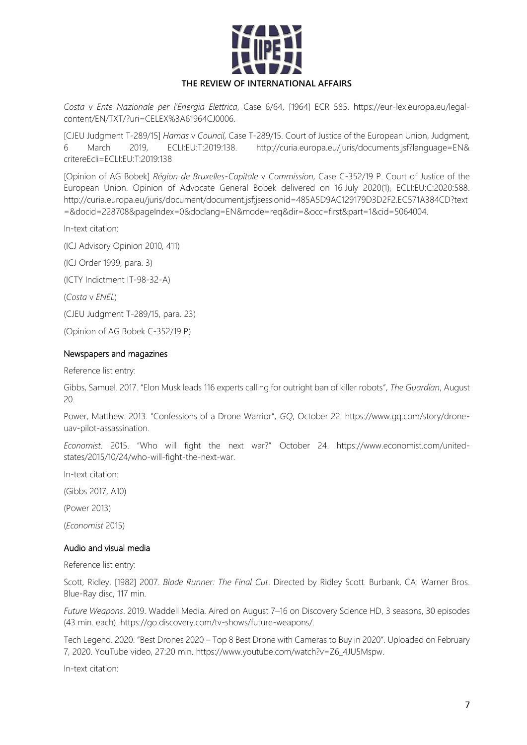

*Costa* v *Ente Nazionale per l'Energia Elettrica*, Case 6/64, [1964] ECR 585. https://eur-lex.europa.eu/legalcontent/EN/TXT/?uri=CELEX%3A61964CJ0006.

[CJEU Judgment T-289/15] *Hamas* v *Council*, Case T-289/15. Court of Justice of the European Union, Judgment, 6 March 2019, ECLI:EU:T:2019:138. http://curia.europa.eu/juris/documents.jsf?language=EN& critereEcli=ECLI:EU:T:2019:138

[Opinion of AG Bobek] *Région de Bruxelles-Capitale* v *Commission*, Case C-352/19 P. Court of Justice of the European Union. Opinion of Advocate General Bobek delivered on 16 July 2020[\(1\)](http://curia.europa.eu/juris/document/document.jsf;jsessionid=485A5D9AC129179D3D2F2EC571A384CD?text=&docid=228708&pageIndex=0&doclang=EN&mode=req&dir=&occ=first&part=1&cid=15064004#Footnote1), ECLI:EU:C:2020:588. http://curia.europa.eu/juris/document/document.jsf;jsessionid=485A5D9AC129179D3D2F2.EC571A384CD?text =&docid=228708&pageIndex=0&doclang=EN&mode=req&dir=&occ=first&part=1&cid=5064004.

In-text citation:

(ICJ Advisory Opinion 2010, 411)

(ICJ Order 1999, para. 3)

(ICTY Indictment IT-98-32-A)

(*Costa* v *ENEL*)

(CJEU Judgment T-289/15, para. 23)

(Opinion of AG Bobek C-352/19 P)

#### Newspapers and magazines

Reference list entry:

Gibbs, Samuel. 2017. "Elon Musk leads 116 experts calling for outright ban of killer robots", *The Guardian*, August 20.

Power, Matthew. 2013. "Confessions of a Drone Warrior", *GQ*, October 22. https://www.gq.com/story/droneuav-pilot-assassination.

*Economist*. 2015. "Who will fight the next war?" October 24. https://www.economist.com/unitedstates/2015/10/24/who-will-fight-the-next-war.

In-text citation:

(Gibbs 2017, A10)

(Power 2013)

(*Economist* 2015)

### Audio and visual media

Reference list entry:

Scott, Ridley. [1982] 2007. *Blade Runner: The Final Cut*. Directed by Ridley Scott. Burbank, CA: Warner Bros. Blue-Ray disc, 117 min.

*Future Weapons*. 2019. Waddell Media. Aired on August 7–16 on Discovery Science HD, 3 seasons, 30 episodes (43 min. each). https://go.discovery.com/tv-shows/future-weapons/.

Tech Legend. 2020. "Best Drones 2020 – Top 8 Best Drone with Cameras to Buy in 2020". Uploaded on February 7, 2020. YouTube video, 27:20 min. https://www.youtube.com/watch?v=Z6\_4JU5Mspw.

In-text citation: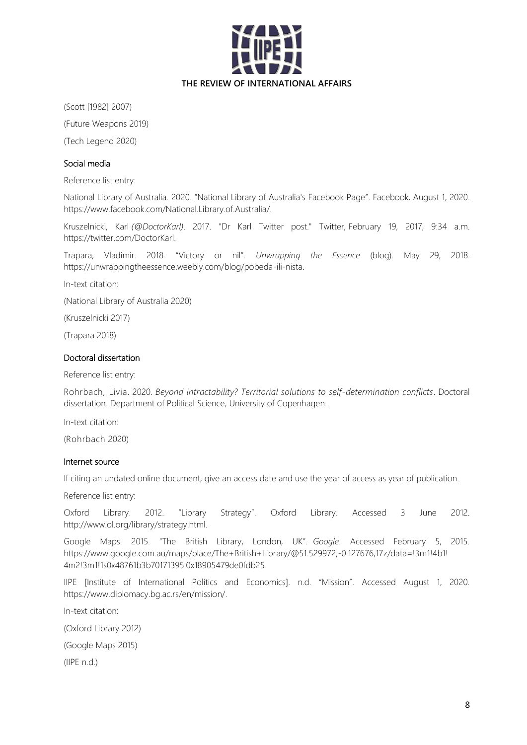

(Scott [1982] 2007)

(Future Weapons 2019)

(Tech Legend 2020)

# Social media

Reference list entry:

National Library of Australia. 2020. "National Library of Australia's Facebook Page". Facebook*,* August 1, 2020. https://www.facebook.com/National.Library.of.Australia/.

Kruszelnicki, Karl *(@DoctorKarl)*. 2017. "Dr Karl Twitter post." Twitter*,* February 19, 2017, 9:34 a.m. https://twitter.com/DoctorKarl.

Trapara, Vladimir. 2018. "Victory or nil". *Unwrapping the Essence* (blog). May 29, 2018. https://unwrappingtheessence.weebly.com/blog/pobeda-ili-nista.

In-text citation:

(National Library of Australia 2020)

(Kruszelnicki 2017)

(Trapara 2018)

# Doctoral dissertation

Reference list entry:

Rohrbach, Livia. 2020. *Beyond intractability? Territorial solutions to self-determination conflicts*. Doctoral dissertation. Department of Political Science, University of Copenhagen.

In-text citation:

(Rohrbach 2020)

### Internet source

If citing an undated online document, give an access date and use the year of access as year of publication.

Reference list entry:

Oxford Library. 2012. "Library Strategy". Oxford Library. Accessed 3 June 2012. http://www.ol.org/library/strategy.html.

Google Maps. 2015. "The British Library, London, UK". *Google*. Accessed February 5, 2015. https://www.google.com.au/maps/place/The+British+Library/@51.529972,-0.127676,17z/data=!3m1!4b1! 4m2!3m1!1s0x48761b3b70171395:0x18905479de0fdb25.

IIPE [Institute of International Politics and Economics]. n.d. "Mission". Accessed August 1, 2020. https://www.diplomacy.bg.ac.rs/en/mission/.

In-text citation:

(Oxford Library 2012)

(Google Maps 2015)

(IIPE n.d.)